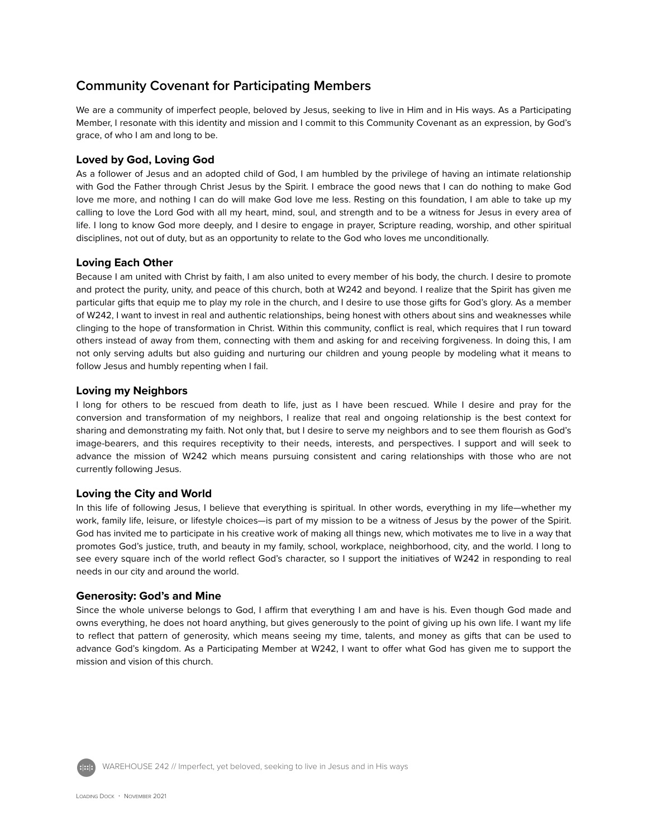# **Community Covenant for Participating Members**

We are a community of imperfect people, beloved by Jesus, seeking to live in Him and in His ways. As a Participating Member, I resonate with this identity and mission and I commit to this Community Covenant as an expression, by God's grace, of who I am and long to be.

## **Loved by God, Loving God**

As a follower of Jesus and an adopted child of God, I am humbled by the privilege of having an intimate relationship with God the Father through Christ Jesus by the Spirit. I embrace the good news that I can do nothing to make God love me more, and nothing I can do will make God love me less. Resting on this foundation, I am able to take up my calling to love the Lord God with all my heart, mind, soul, and strength and to be a witness for Jesus in every area of life. I long to know God more deeply, and I desire to engage in prayer, Scripture reading, worship, and other spiritual disciplines, not out of duty, but as an opportunity to relate to the God who loves me unconditionally.

## **Loving Each Other**

Because I am united with Christ by faith, I am also united to every member of his body, the church. I desire to promote and protect the purity, unity, and peace of this church, both at W242 and beyond. I realize that the Spirit has given me particular gifts that equip me to play my role in the church, and I desire to use those gifts for God's glory. As a member of W242, I want to invest in real and authentic relationships, being honest with others about sins and weaknesses while clinging to the hope of transformation in Christ. Within this community, conflict is real, which requires that I run toward others instead of away from them, connecting with them and asking for and receiving forgiveness. In doing this, I am not only serving adults but also guiding and nurturing our children and young people by modeling what it means to follow Jesus and humbly repenting when I fail.

## **Loving my Neighbors**

I long for others to be rescued from death to life, just as I have been rescued. While I desire and pray for the conversion and transformation of my neighbors, I realize that real and ongoing relationship is the best context for sharing and demonstrating my faith. Not only that, but I desire to serve my neighbors and to see them flourish as God's image-bearers, and this requires receptivity to their needs, interests, and perspectives. I support and will seek to advance the mission of W242 which means pursuing consistent and caring relationships with those who are not currently following Jesus.

## **Loving the City and World**

In this life of following Jesus, I believe that everything is spiritual. In other words, everything in my life—whether my work, family life, leisure, or lifestyle choices—is part of my mission to be a witness of Jesus by the power of the Spirit. God has invited me to participate in his creative work of making all things new, which motivates me to live in a way that promotes God's justice, truth, and beauty in my family, school, workplace, neighborhood, city, and the world. I long to see every square inch of the world reflect God's character, so I support the initiatives of W242 in responding to real needs in our city and around the world.

## **Generosity: God's and Mine**

Since the whole universe belongs to God, I affirm that everything I am and have is his. Even though God made and owns everything, he does not hoard anything, but gives generously to the point of giving up his own life. I want my life to reflect that pattern of generosity, which means seeing my time, talents, and money as gifts that can be used to advance God's kingdom. As a Participating Member at W242, I want to offer what God has given me to support the mission and vision of this church.



WAREHOUSE 242 // Imperfect, yet beloved, seeking to live in Jesus and in His ways